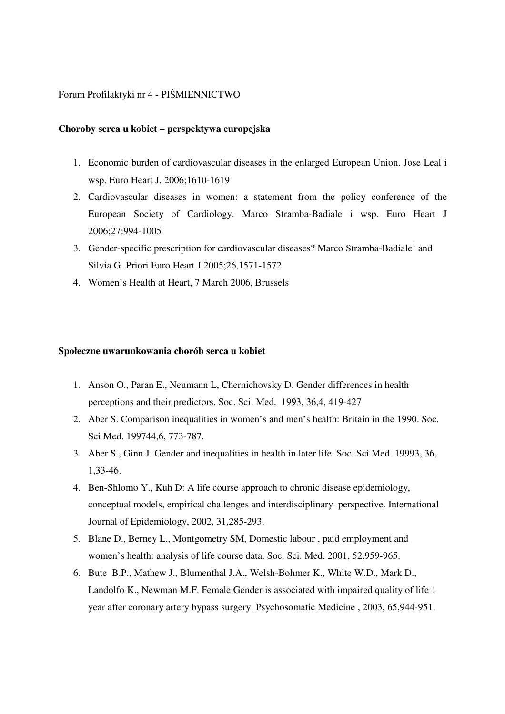# Forum Profilaktyki nr 4 - PIŚMIENNICTWO

#### **Choroby serca u kobiet – perspektywa europejska**

- 1. Economic burden of cardiovascular diseases in the enlarged European Union. Jose Leal i wsp. Euro Heart J. 2006;1610-1619
- 2. Cardiovascular diseases in women: a statement from the policy conference of the European Society of Cardiology. Marco Stramba-Badiale i wsp. Euro Heart J 2006;27:994-1005
- 3. Gender-specific prescription for cardiovascular diseases? Marco Stramba-Badiale<sup>1</sup> and Silvia G. Priori Euro Heart J 2005;26,1571-1572
- 4. Women's Health at Heart, 7 March 2006, Brussels

#### **Społeczne uwarunkowania chorób serca u kobiet**

- 1. Anson O., Paran E., Neumann L, Chernichovsky D. Gender differences in health perceptions and their predictors. Soc. Sci. Med. 1993, 36,4, 419-427
- 2. Aber S. Comparison inequalities in women's and men's health: Britain in the 1990. Soc. Sci Med. 199744,6, 773-787.
- 3. Aber S., Ginn J. Gender and inequalities in health in later life. Soc. Sci Med. 19993, 36, 1,33-46.
- 4. Ben-Shlomo Y., Kuh D: A life course approach to chronic disease epidemiology, conceptual models, empirical challenges and interdisciplinary perspective. International Journal of Epidemiology, 2002, 31,285-293.
- 5. Blane D., Berney L., Montgometry SM, Domestic labour , paid employment and women's health: analysis of life course data. Soc. Sci. Med. 2001, 52,959-965.
- 6. Bute B.P., Mathew J., Blumenthal J.A., Welsh-Bohmer K., White W.D., Mark D., Landolfo K., Newman M.F. Female Gender is associated with impaired quality of life 1 year after coronary artery bypass surgery. Psychosomatic Medicine , 2003, 65,944-951.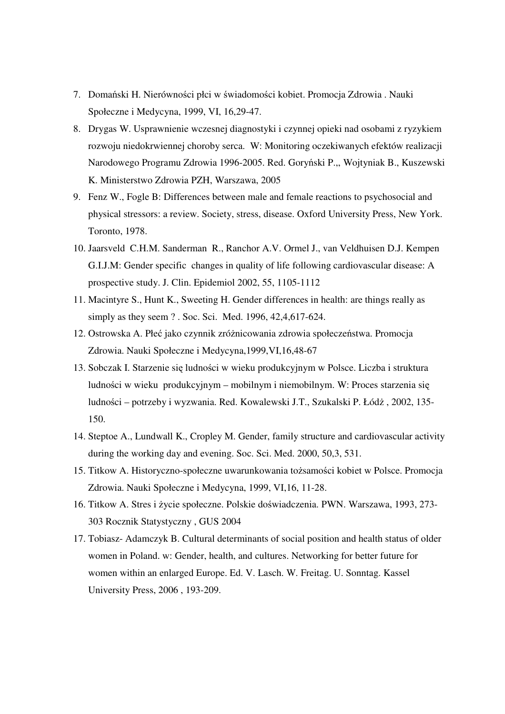- 7. Domański H. Nierówności płci w świadomości kobiet. Promocja Zdrowia . Nauki Społeczne i Medycyna, 1999, VI, 16,29-47.
- 8. Drygas W. Usprawnienie wczesnej diagnostyki i czynnej opieki nad osobami z ryzykiem rozwoju niedokrwiennej choroby serca. W: Monitoring oczekiwanych efektów realizacji Narodowego Programu Zdrowia 1996-2005. Red. Goryński P.,, Wojtyniak B., Kuszewski K. Ministerstwo Zdrowia PZH, Warszawa, 2005
- 9. Fenz W., Fogle B: Differences between male and female reactions to psychosocial and physical stressors: a review. Society, stress, disease. Oxford University Press, New York. Toronto, 1978.
- 10. Jaarsveld C.H.M. Sanderman R., Ranchor A.V. Ormel J., van Veldhuisen D.J. Kempen G.I.J.M: Gender specific changes in quality of life following cardiovascular disease: A prospective study. J. Clin. Epidemiol 2002, 55, 1105-1112
- 11. Macintyre S., Hunt K., Sweeting H. Gender differences in health: are things really as simply as they seem ? . Soc. Sci. Med. 1996, 42,4,617-624.
- 12. Ostrowska A. Płeć jako czynnik zróżnicowania zdrowia społeczeństwa. Promocja Zdrowia. Nauki Społeczne i Medycyna,1999,VI,16,48-67
- 13. Sobczak I. Starzenie się ludności w wieku produkcyjnym w Polsce. Liczba i struktura ludności w wieku produkcyjnym – mobilnym i niemobilnym. W: Proces starzenia się ludności – potrzeby i wyzwania. Red. Kowalewski J.T., Szukalski P. Łódż , 2002, 135- 150.
- 14. Steptoe A., Lundwall K., Cropley M. Gender, family structure and cardiovascular activity during the working day and evening. Soc. Sci. Med. 2000, 50,3, 531.
- 15. Titkow A. Historyczno-społeczne uwarunkowania tożsamości kobiet w Polsce. Promocja Zdrowia. Nauki Społeczne i Medycyna, 1999, VI,16, 11-28.
- 16. Titkow A. Stres i życie społeczne. Polskie doświadczenia. PWN. Warszawa, 1993, 273- 303 Rocznik Statystyczny , GUS 2004
- 17. Tobiasz- Adamczyk B. Cultural determinants of social position and health status of older women in Poland. w: Gender, health, and cultures. Networking for better future for women within an enlarged Europe. Ed. V. Lasch. W. Freitag. U. Sonntag. Kassel University Press, 2006 , 193-209.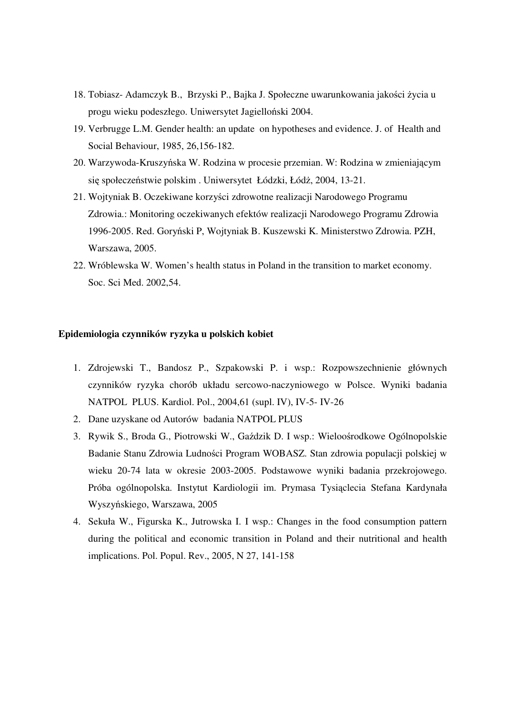- 18. Tobiasz- Adamczyk B., Brzyski P., Bajka J. Społeczne uwarunkowania jakości życia u progu wieku podeszłego. Uniwersytet Jagielloński 2004.
- 19. Verbrugge L.M. Gender health: an update on hypotheses and evidence. J. of Health and Social Behaviour, 1985, 26,156-182.
- 20. Warzywoda-Kruszyńska W. Rodzina w procesie przemian. W: Rodzina w zmieniającym się społeczeństwie polskim . Uniwersytet Łódzki, Łódż, 2004, 13-21.
- 21. Wojtyniak B. Oczekiwane korzyści zdrowotne realizacji Narodowego Programu Zdrowia.: Monitoring oczekiwanych efektów realizacji Narodowego Programu Zdrowia 1996-2005. Red. Goryński P, Wojtyniak B. Kuszewski K. Ministerstwo Zdrowia. PZH, Warszawa, 2005.
- 22. Wróblewska W. Women's health status in Poland in the transition to market economy. Soc. Sci Med. 2002,54.

#### **Epidemiologia czynników ryzyka u polskich kobiet**

- 1. Zdrojewski T., Bandosz P., Szpakowski P. i wsp.: Rozpowszechnienie głównych czynników ryzyka chorób układu sercowo-naczyniowego w Polsce. Wyniki badania NATPOL PLUS. Kardiol. Pol., 2004,61 (supl. IV), IV-5- IV-26
- 2. Dane uzyskane od Autorów badania NATPOL PLUS
- 3. Rywik S., Broda G., Piotrowski W., Gaździk D. I wsp.: Wieloośrodkowe Ogólnopolskie Badanie Stanu Zdrowia Ludności Program WOBASZ. Stan zdrowia populacji polskiej w wieku 20-74 lata w okresie 2003-2005. Podstawowe wyniki badania przekrojowego. Próba ogólnopolska. Instytut Kardiologii im. Prymasa Tysiąclecia Stefana Kardynała Wyszyńskiego, Warszawa, 2005
- 4. Sekuła W., Figurska K., Jutrowska I. I wsp.: Changes in the food consumption pattern during the political and economic transition in Poland and their nutritional and health implications. Pol. Popul. Rev., 2005, N 27, 141-158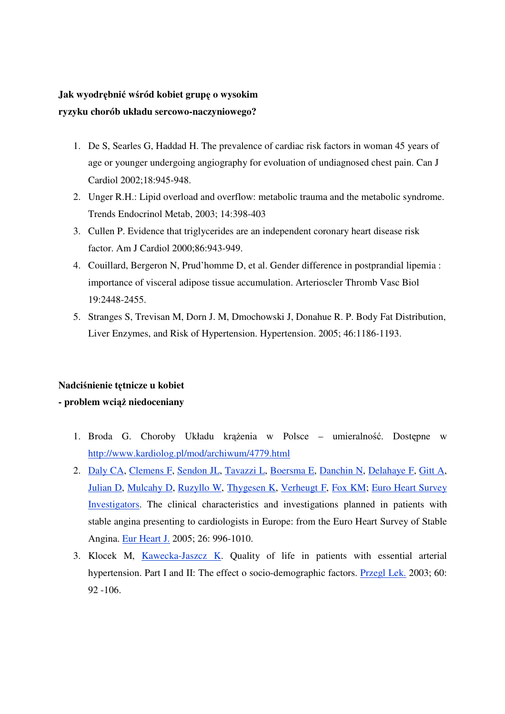# **Jak wyodr**ę**bni**ć **w**ś**ród kobiet grup**ę **o wysokim ryzyku chorób układu sercowo-naczyniowego?**

- 1. De S, Searles G, Haddad H. The prevalence of cardiac risk factors in woman 45 years of age or younger undergoing angiography for evoluation of undiagnosed chest pain. Can J Cardiol 2002;18:945-948.
- 2. Unger R.H.: Lipid overload and overflow: metabolic trauma and the metabolic syndrome. Trends Endocrinol Metab, 2003; 14:398-403
- 3. Cullen P. Evidence that triglycerides are an independent coronary heart disease risk factor. Am J Cardiol 2000;86:943-949.
- 4. Couillard, Bergeron N, Prud'homme D, et al. Gender difference in postprandial lipemia : importance of visceral adipose tissue accumulation. Arterioscler Thromb Vasc Biol 19:2448-2455.
- 5. Stranges S, Trevisan M, Dorn J. M, Dmochowski J, Donahue R. P. Body Fat Distribution, Liver Enzymes, and Risk of Hypertension. Hypertension. 2005; 46:1186-1193.

### **Nadci**ś**nienie t**ę**tnicze u kobiet**

## **- problem wci**ąż **niedoceniany**

- 1. Broda G. Choroby Układu krążenia w Polsce umieralność. Dostępne w http://www.kardiolog.pl/mod/archiwum/4779.html
- 2. Daly CA, Clemens F, Sendon JL, Tavazzi L, Boersma E, Danchin N, Delahaye F, Gitt A, Julian D, Mulcahy D, Ruzyllo W, Thygesen K, Verheugt F, Fox KM; Euro Heart Survey Investigators. The clinical characteristics and investigations planned in patients with stable angina presenting to cardiologists in Europe: from the Euro Heart Survey of Stable Angina. Eur Heart J. 2005; 26: 996-1010.
- 3. Klocek M, Kawecka-Jaszcz K. Quality of life in patients with essential arterial hypertension. Part I and II: The effect o socio-demographic factors. Przegl Lek. 2003; 60: 92 -106.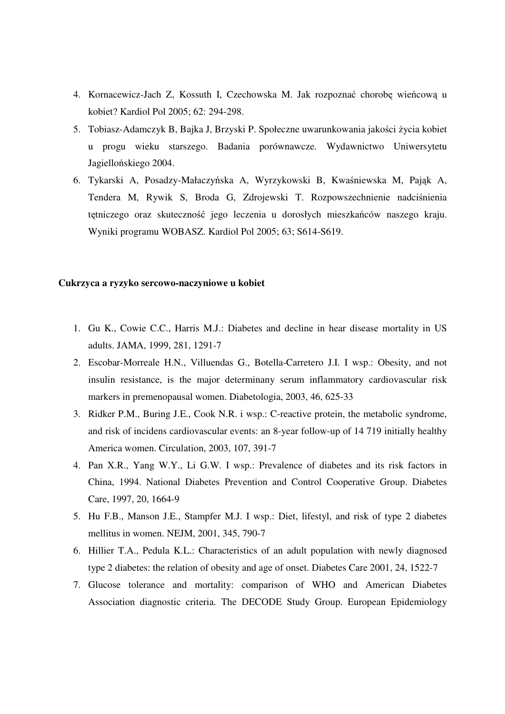- 4. Kornacewicz-Jach Z, Kossuth I, Czechowska M. Jak rozpoznać chorobę wieńcową u kobiet? Kardiol Pol 2005; 62: 294-298.
- 5. Tobiasz-Adamczyk B, Bajka J, Brzyski P. Społeczne uwarunkowania jakości życia kobiet u progu wieku starszego. Badania porównawcze. Wydawnictwo Uniwersytetu Jagiellońskiego 2004.
- 6. Tykarski A, Posadzy-Małaczyńska A, Wyrzykowski B, Kwaśniewska M, Pająk A, Tendera M, Rywik S, Broda G, Zdrojewski T. Rozpowszechnienie nadciśnienia tętniczego oraz skuteczność jego leczenia u dorosłych mieszkańców naszego kraju. Wyniki programu WOBASZ. Kardiol Pol 2005; 63; S614-S619.

#### **Cukrzyca a ryzyko sercowo-naczyniowe u kobiet**

- 1. Gu K., Cowie C.C., Harris M.J.: Diabetes and decline in hear disease mortality in US adults. JAMA, 1999, 281, 1291-7
- 2. Escobar-Morreale H.N., Villuendas G., Botella-Carretero J.I. I wsp.: Obesity, and not insulin resistance, is the major determinany serum inflammatory cardiovascular risk markers in premenopausal women. Diabetologia, 2003, 46, 625-33
- 3. Ridker P.M., Buring J.E., Cook N.R. i wsp.: C-reactive protein, the metabolic syndrome, and risk of incidens cardiovascular events: an 8-year follow-up of 14 719 initially healthy America women. Circulation, 2003, 107, 391-7
- 4. Pan X.R., Yang W.Y., Li G.W. I wsp.: Prevalence of diabetes and its risk factors in China, 1994. National Diabetes Prevention and Control Cooperative Group. Diabetes Care, 1997, 20, 1664-9
- 5. Hu F.B., Manson J.E., Stampfer M.J. I wsp.: Diet, lifestyl, and risk of type 2 diabetes mellitus in women. NEJM, 2001, 345, 790-7
- 6. Hillier T.A., Pedula K.L.: Characteristics of an adult population with newly diagnosed type 2 diabetes: the relation of obesity and age of onset. Diabetes Care 2001, 24, 1522-7
- 7. Glucose tolerance and mortality: comparison of WHO and American Diabetes Association diagnostic criteria. The DECODE Study Group. European Epidemiology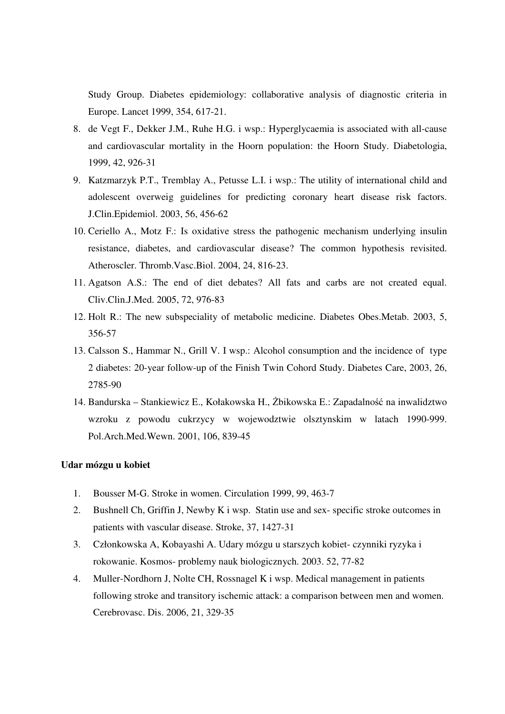Study Group. Diabetes epidemiology: collaborative analysis of diagnostic criteria in Europe. Lancet 1999, 354, 617-21.

- 8. de Vegt F., Dekker J.M., Ruhe H.G. i wsp.: Hyperglycaemia is associated with all-cause and cardiovascular mortality in the Hoorn population: the Hoorn Study. Diabetologia, 1999, 42, 926-31
- 9. Katzmarzyk P.T., Tremblay A., Petusse L.I. i wsp.: The utility of international child and adolescent overweig guidelines for predicting coronary heart disease risk factors. J.Clin.Epidemiol. 2003, 56, 456-62
- 10. Ceriello A., Motz F.: Is oxidative stress the pathogenic mechanism underlying insulin resistance, diabetes, and cardiovascular disease? The common hypothesis revisited. Atheroscler. Thromb.Vasc.Biol. 2004, 24, 816-23.
- 11. Agatson A.S.: The end of diet debates? All fats and carbs are not created equal. Cliv.Clin.J.Med. 2005, 72, 976-83
- 12. Holt R.: The new subspeciality of metabolic medicine. Diabetes Obes.Metab. 2003, 5, 356-57
- 13. Calsson S., Hammar N., Grill V. I wsp.: Alcohol consumption and the incidence of type 2 diabetes: 20-year follow-up of the Finish Twin Cohord Study. Diabetes Care, 2003, 26, 2785-90
- 14. Bandurska Stankiewicz E., Kołakowska H., Żbikowska E.: Zapadalność na inwalidztwo wzroku z powodu cukrzycy w wojewodztwie olsztynskim w latach 1990-999. Pol.Arch.Med.Wewn. 2001, 106, 839-45

#### **Udar mózgu u kobiet**

- 1. Bousser M-G. Stroke in women. Circulation 1999, 99, 463-7
- 2. Bushnell Ch, Griffin J, Newby K i wsp. Statin use and sex- specific stroke outcomes in patients with vascular disease. Stroke, 37, 1427-31
- 3. Członkowska A, Kobayashi A. Udary mózgu u starszych kobiet- czynniki ryzyka i rokowanie. Kosmos- problemy nauk biologicznych. 2003. 52, 77-82
- 4. Muller-Nordhorn J, Nolte CH, Rossnagel K i wsp. Medical management in patients following stroke and transitory ischemic attack: a comparison between men and women. Cerebrovasc. Dis. 2006, 21, 329-35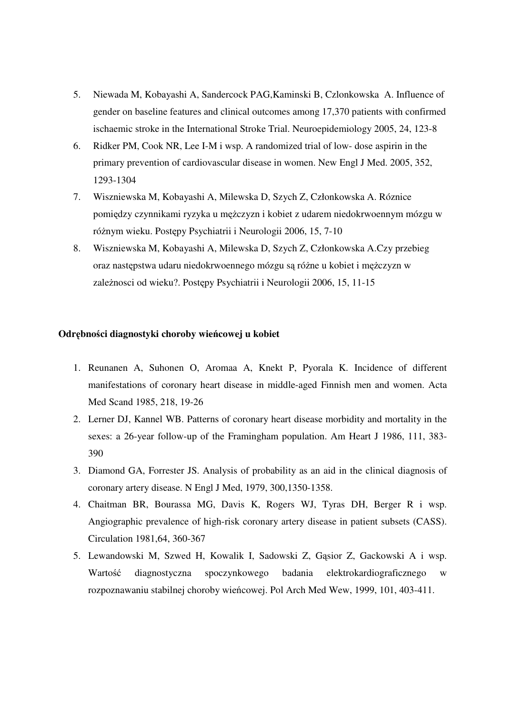- 5. Niewada M, Kobayashi A, Sandercock PAG,Kaminski B, Czlonkowska A. Influence of gender on baseline features and clinical outcomes among 17,370 patients with confirmed ischaemic stroke in the International Stroke Trial. Neuroepidemiology 2005, 24, 123-8
- 6. Ridker PM, Cook NR, Lee I-M i wsp. A randomized trial of low- dose aspirin in the primary prevention of cardiovascular disease in women. New Engl J Med. 2005, 352, 1293-1304
- 7. Wiszniewska M, Kobayashi A, Milewska D, Szych Z, Członkowska A. Róznice pomiędzy czynnikami ryzyka u mężczyzn i kobiet z udarem niedokrwoennym mózgu w różnym wieku. Postępy Psychiatrii i Neurologii 2006, 15, 7-10
- 8. Wiszniewska M, Kobayashi A, Milewska D, Szych Z, Członkowska A.Czy przebieg oraz następstwa udaru niedokrwoennego mózgu są różne u kobiet i mężczyzn w zależnosci od wieku?. Postępy Psychiatrii i Neurologii 2006, 15, 11-15

### **Odr**ę**bno**ś**ci diagnostyki choroby wie**ń**cowej u kobiet**

- 1. Reunanen A, Suhonen O, Aromaa A, Knekt P, Pyorala K. Incidence of different manifestations of coronary heart disease in middle-aged Finnish men and women. Acta Med Scand 1985, 218, 19-26
- 2. Lerner DJ, Kannel WB. Patterns of coronary heart disease morbidity and mortality in the sexes: a 26-year follow-up of the Framingham population. Am Heart J 1986, 111, 383- 390
- 3. Diamond GA, Forrester JS. Analysis of probability as an aid in the clinical diagnosis of coronary artery disease. N Engl J Med, 1979, 300,1350-1358.
- 4. Chaitman BR, Bourassa MG, Davis K, Rogers WJ, Tyras DH, Berger R i wsp. Angiographic prevalence of high-risk coronary artery disease in patient subsets (CASS). Circulation 1981,64, 360-367
- 5. Lewandowski M, Szwed H, Kowalik I, Sadowski Z, Gąsior Z, Gackowski A i wsp. Wartość diagnostyczna spoczynkowego badania elektrokardiograficznego w rozpoznawaniu stabilnej choroby wieńcowej. Pol Arch Med Wew, 1999, 101, 403-411.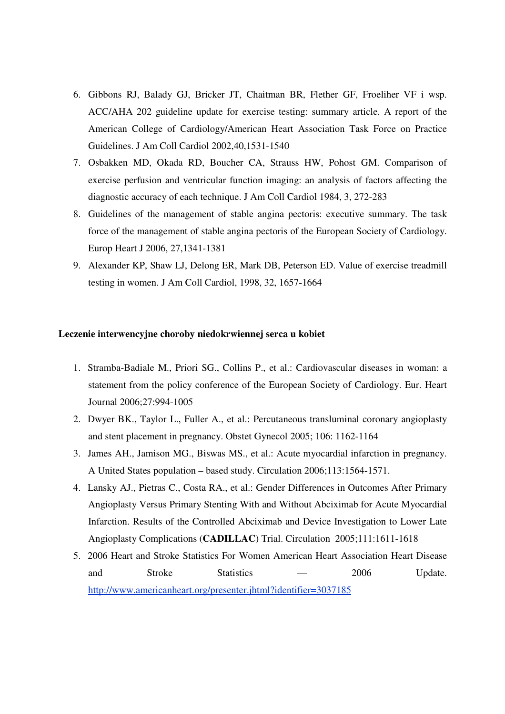- 6. Gibbons RJ, Balady GJ, Bricker JT, Chaitman BR, Flether GF, Froeliher VF i wsp. ACC/AHA 202 guideline update for exercise testing: summary article. A report of the American College of Cardiology/American Heart Association Task Force on Practice Guidelines. J Am Coll Cardiol 2002,40,1531-1540
- 7. Osbakken MD, Okada RD, Boucher CA, Strauss HW, Pohost GM. Comparison of exercise perfusion and ventricular function imaging: an analysis of factors affecting the diagnostic accuracy of each technique. J Am Coll Cardiol 1984, 3, 272-283
- 8. Guidelines of the management of stable angina pectoris: executive summary. The task force of the management of stable angina pectoris of the European Society of Cardiology. Europ Heart J 2006, 27,1341-1381
- 9. Alexander KP, Shaw LJ, Delong ER, Mark DB, Peterson ED. Value of exercise treadmill testing in women. J Am Coll Cardiol, 1998, 32, 1657-1664

#### **Leczenie interwencyjne choroby niedokrwiennej serca u kobiet**

- 1. Stramba-Badiale M., Priori SG., Collins P., et al.: Cardiovascular diseases in woman: a statement from the policy conference of the European Society of Cardiology. Eur. Heart Journal 2006;27:994-1005
- 2. Dwyer BK., Taylor L., Fuller A., et al.: Percutaneous transluminal coronary angioplasty and stent placement in pregnancy. Obstet Gynecol 2005; 106: 1162-1164
- 3. James AH., Jamison MG., Biswas MS., et al.: Acute myocardial infarction in pregnancy. A United States population – based study. Circulation 2006;113:1564-1571.
- 4. Lansky AJ., Pietras C., Costa RA., et al.: Gender Differences in Outcomes After Primary Angioplasty Versus Primary Stenting With and Without Abciximab for Acute Myocardial Infarction. Results of the Controlled Abciximab and Device Investigation to Lower Late Angioplasty Complications (**CADILLAC**) Trial. Circulation 2005;111:1611-1618
- 5. 2006 Heart and Stroke Statistics For Women American Heart Association Heart Disease and Stroke Statistics — 2006 Update. http://www.americanheart.org/presenter.jhtml?identifier=3037185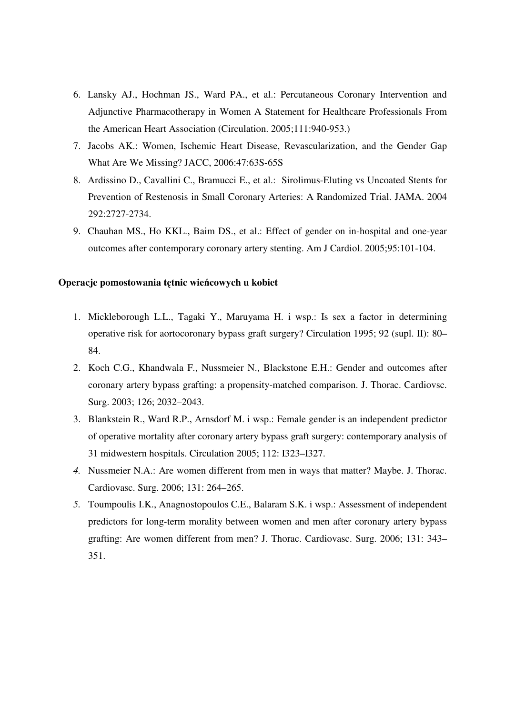- 6. Lansky AJ., Hochman JS., Ward PA., et al.: Percutaneous Coronary Intervention and Adjunctive Pharmacotherapy in Women A Statement for Healthcare Professionals From the American Heart Association (Circulation. 2005;111:940-953.)
- 7. Jacobs AK.: Women, Ischemic Heart Disease, Revascularization, and the Gender Gap What Are We Missing? JACC, 2006:47:63S-65S
- 8. Ardissino D., Cavallini C., Bramucci E., et al.: Sirolimus-Eluting vs Uncoated Stents for Prevention of Restenosis in Small Coronary Arteries: A Randomized Trial. JAMA. 2004 292:2727-2734.
- 9. Chauhan MS., Ho KKL., Baim DS., et al.: Effect of gender on in-hospital and one-year outcomes after contemporary coronary artery stenting. Am J Cardiol. 2005;95:101-104.

## **Operacje pomostowania t**ę**tnic wie**ń**cowych u kobiet**

- 1. Mickleborough L.L., Tagaki Y., Maruyama H. i wsp.: Is sex a factor in determining operative risk for aortocoronary bypass graft surgery? Circulation 1995; 92 (supl. II): 80– 84.
- 2. Koch C.G., Khandwala F., Nussmeier N., Blackstone E.H.: Gender and outcomes after coronary artery bypass grafting: a propensity-matched comparison. J. Thorac. Cardiovsc. Surg. 2003; 126; 2032–2043.
- 3. Blankstein R., Ward R.P., Arnsdorf M. i wsp.: Female gender is an independent predictor of operative mortality after coronary artery bypass graft surgery: contemporary analysis of 31 midwestern hospitals. Circulation 2005; 112: I323–I327.
- *4.* Nussmeier N.A.: Are women different from men in ways that matter? Maybe. J. Thorac. Cardiovasc. Surg. 2006; 131: 264–265.
- *5.* Toumpoulis I.K., Anagnostopoulos C.E., Balaram S.K. i wsp.: Assessment of independent predictors for long-term morality between women and men after coronary artery bypass grafting: Are women different from men? J. Thorac. Cardiovasc. Surg. 2006; 131: 343– 351.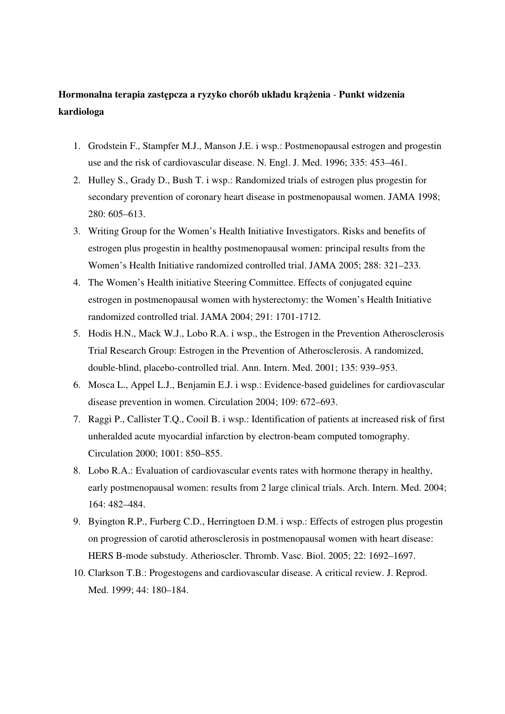# **Hormonalna terapia zast**ę**pcza a ryzyko chorób układu kr**ąż**enia** - **Punkt widzenia kardiologa**

- 1. Grodstein F., Stampfer M.J., Manson J.E. i wsp.: Postmenopausal estrogen and progestin use and the risk of cardiovascular disease. N. Engl. J. Med. 1996; 335: 453–461.
- 2. Hulley S., Grady D., Bush T. i wsp.: Randomized trials of estrogen plus progestin for secondary prevention of coronary heart disease in postmenopausal women. JAMA 1998; 280: 605–613.
- 3. Writing Group for the Women's Health Initiative Investigators. Risks and benefits of estrogen plus progestin in healthy postmenopausal women: principal results from the Women's Health Initiative randomized controlled trial. JAMA 2005; 288: 321–233.
- 4. The Women's Health initiative Steering Committee. Effects of conjugated equine estrogen in postmenopausal women with hysterectomy: the Women's Health Initiative randomized controlled trial. JAMA 2004; 291: 1701-1712.
- 5. Hodis H.N., Mack W.J., Lobo R.A. i wsp., the Estrogen in the Prevention Atherosclerosis Trial Research Group: Estrogen in the Prevention of Atherosclerosis. A randomized, double-blind, placebo-controlled trial. Ann. Intern. Med. 2001; 135: 939–953.
- 6. Mosca L., Appel L.J., Benjamin E.J. i wsp.: Evidence-based guidelines for cardiovascular disease prevention in women. Circulation 2004; 109: 672–693.
- 7. Raggi P., Callister T.Q., Cooil B. i wsp.: Identification of patients at increased risk of first unheralded acute myocardial infarction by electron-beam computed tomography. Circulation 2000; 1001: 850–855.
- 8. Lobo R.A.: Evaluation of cardiovascular events rates with hormone therapy in healthy, early postmenopausal women: results from 2 large clinical trials. Arch. Intern. Med. 2004; 164: 482–484.
- 9. Byington R.P., Furberg C.D., Herringtoen D.M. i wsp.: Effects of estrogen plus progestin on progression of carotid atherosclerosis in postmenopausal women with heart disease: HERS B-mode substudy. Atherioscler. Thromb. Vasc. Biol. 2005; 22: 1692–1697.
- 10. Clarkson T.B.: Progestogens and cardiovascular disease. A critical review. J. Reprod. Med. 1999; 44: 180–184.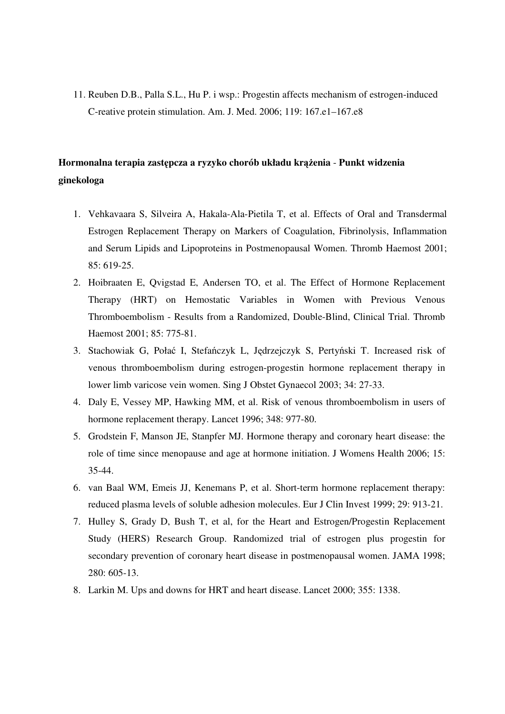11. Reuben D.B., Palla S.L., Hu P. i wsp.: Progestin affects mechanism of estrogen-induced C-reative protein stimulation. Am. J. Med. 2006; 119: 167.e1–167.e8

# **Hormonalna terapia zast**ę**pcza a ryzyko chorób układu kr**ąż**enia** - **Punkt widzenia ginekologa**

- 1. Vehkavaara S, Silveira A, Hakala-Ala-Pietila T, et al. Effects of Oral and Transdermal Estrogen Replacement Therapy on Markers of Coagulation, Fibrinolysis, Inflammation and Serum Lipids and Lipoproteins in Postmenopausal Women. Thromb Haemost 2001; 85: 619-25.
- 2. Hoibraaten E, Qvigstad E, Andersen TO, et al. The Effect of Hormone Replacement Therapy (HRT) on Hemostatic Variables in Women with Previous Venous Thromboembolism - Results from a Randomized, Double-Blind, Clinical Trial. Thromb Haemost 2001; 85: 775-81.
- 3. Stachowiak G, Połać I, Stefańczyk L, Jędrzejczyk S, Pertyński T. Increased risk of venous thromboembolism during estrogen-progestin hormone replacement therapy in lower limb varicose vein women. Sing J Obstet Gynaecol 2003; 34: 27-33.
- 4. Daly E, Vessey MP, Hawking MM, et al. Risk of venous thromboembolism in users of hormone replacement therapy. Lancet 1996; 348: 977-80.
- 5. Grodstein F, Manson JE, Stanpfer MJ. Hormone therapy and coronary heart disease: the role of time since menopause and age at hormone initiation. J Womens Health 2006; 15: 35-44.
- 6. van Baal WM, Emeis JJ, Kenemans P, et al. Short-term hormone replacement therapy: reduced plasma levels of soluble adhesion molecules. Eur J Clin Invest 1999; 29: 913-21.
- 7. Hulley S, Grady D, Bush T, et al, for the Heart and Estrogen/Progestin Replacement Study (HERS) Research Group. Randomized trial of estrogen plus progestin for secondary prevention of coronary heart disease in postmenopausal women. JAMA 1998; 280: 605-13.
- 8. Larkin M. Ups and downs for HRT and heart disease. Lancet 2000; 355: 1338.